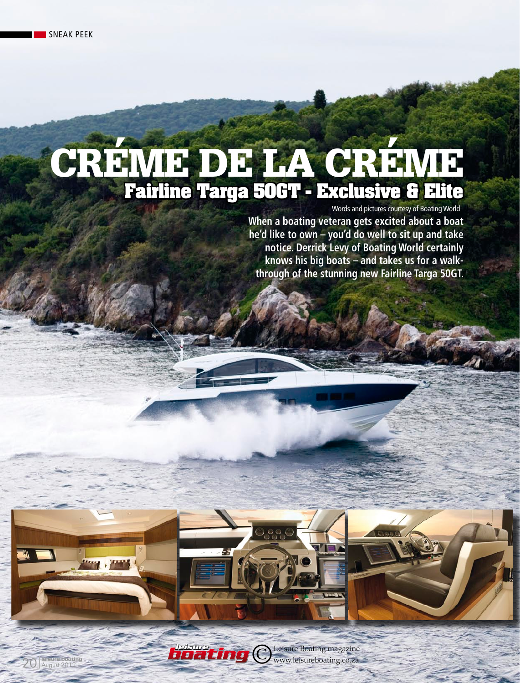20 August 2012

# CREME DE LA **Fairline Targa 50GT - Exclusive & Elite**

Words and pictures courtesy of Boating World

**When a boating veteran gets excited about a boat he'd like to own – you'd do well to sit up and take notice. Derrick Levy of Boating World certainly knows his big boats – and takes us for a walkthrough of the stunning new Fairline Targa 50GT.**

©Leisure Boating magazine *boating SA's top selling powerboat magazine* www.leisureboating.co.za *leisure*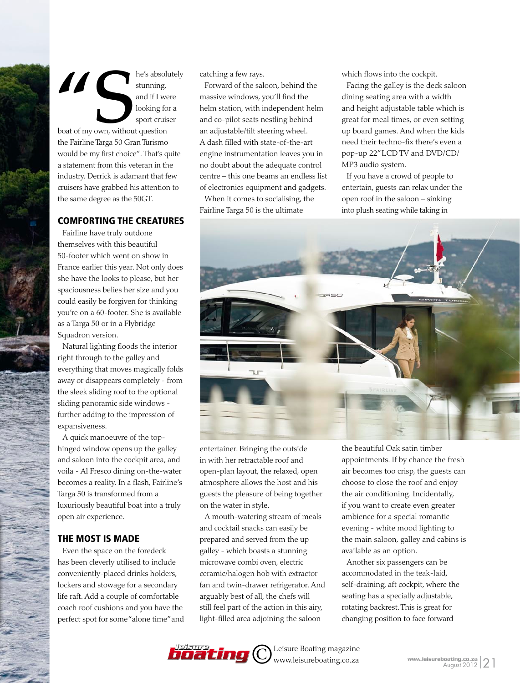$\blacksquare$  he's absolutely stunning, and if I were looking for a sport cruiser boat of my own, without question the Fairline Targa 50 Gran Turismo would be my first choice". That's quite a statement from this veteran in the industry. Derrick is adamant that few cruisers have grabbed his attention to the same degree as the 50GT.

### Comforting the creatures

Fairline have truly outdone themselves with this beautiful 50-footer which went on show in France earlier this year. Not only does she have the looks to please, but her spaciousness belies her size and you could easily be forgiven for thinking you're on a 60-footer. She is available as a Targa 50 or in a Flybridge Squadron version.

Natural lighting floods the interior right through to the galley and everything that moves magically folds away or disappears completely - from the sleek sliding roof to the optional sliding panoramic side windows further adding to the impression of expansiveness.

A quick manoeuvre of the tophinged window opens up the galley and saloon into the cockpit area, and voila - Al Fresco dining on-the-water becomes a reality. In a flash, Fairline's Targa 50 is transformed from a luxuriously beautiful boat into a truly open air experience.

## The most is made

Even the space on the foredeck has been cleverly utilised to include conveniently-placed drinks holders, lockers and stowage for a secondary life raft. Add a couple of comfortable coach roof cushions and you have the perfect spot for some "alone time" and catching a few rays.

Forward of the saloon, behind the massive windows, you'll find the helm station, with independent helm and co-pilot seats nestling behind an adjustable/tilt steering wheel. A dash filled with state-of-the-art engine instrumentation leaves you in no doubt about the adequate control centre – this one beams an endless list of electronics equipment and gadgets.

When it comes to socialising, the Fairline Targa 50 is the ultimate

which flows into the cockpit.

Facing the galley is the deck saloon dining seating area with a width and height adjustable table which is great for meal times, or even setting up board games. And when the kids need their techno-fix there's even a pop-up 22" LCD TV and DVD/CD/ MP3 audio system.

If you have a crowd of people to entertain, guests can relax under the open roof in the saloon – sinking into plush seating while taking in



entertainer. Bringing the outside in with her retractable roof and open-plan layout, the relaxed, open atmosphere allows the host and his guests the pleasure of being together on the water in style.

A mouth-watering stream of meals and cocktail snacks can easily be prepared and served from the up galley - which boasts a stunning microwave combi oven, electric ceramic/halogen hob with extractor fan and twin-drawer refrigerator. And arguably best of all, the chefs will still feel part of the action in this airy, light-filled area adjoining the saloon

the beautiful Oak satin timber appointments. If by chance the fresh air becomes too crisp, the guests can choose to close the roof and enjoy the air conditioning. Incidentally, if you want to create even greater ambience for a special romantic evening - white mood lighting to the main saloon, galley and cabins is available as an option.

Another six passengers can be accommodated in the teak-laid, self-draining, aft cockpit, where the seating has a specially adjustable, rotating backrest. This is great for changing position to face forward

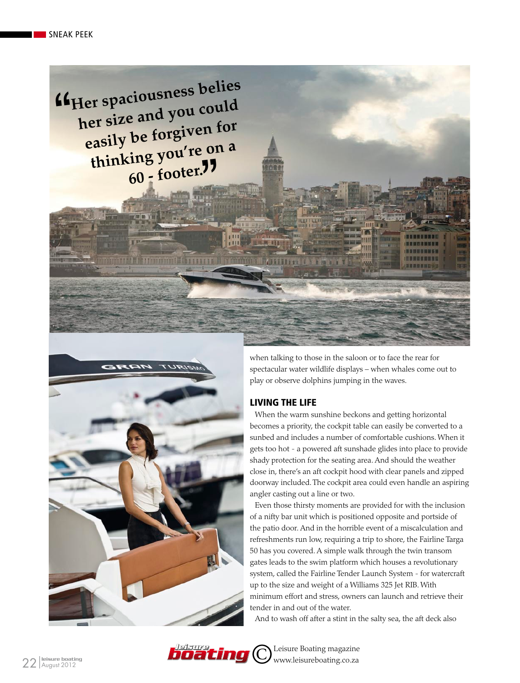*Her spaciousness belies* **her size and you could easily be forgiven for**  asily be re-g<br>thinking you're on a **60 - footer.**

**Antonio de la contrat** 



when talking to those in the saloon or to face the rear for spectacular water wildlife displays – when whales come out to play or observe dolphins jumping in the waves.

#### Living the life

When the warm sunshine beckons and getting horizontal becomes a priority, the cockpit table can easily be converted to a sunbed and includes a number of comfortable cushions. When it gets too hot - a powered aft sunshade glides into place to provide shady protection for the seating area. And should the weather close in, there's an aft cockpit hood with clear panels and zipped doorway included. The cockpit area could even handle an aspiring angler casting out a line or two.

Even those thirsty moments are provided for with the inclusion of a nifty bar unit which is positioned opposite and portside of the patio door. And in the horrible event of a miscalculation and refreshments run low, requiring a trip to shore, the Fairline Targa 50 has you covered. A simple walk through the twin transom gates leads to the swim platform which houses a revolutionary system, called the Fairline Tender Launch System - for watercraft up to the size and weight of a Williams 325 Jet RIB. With minimum effort and stress, owners can launch and retrieve their tender in and out of the water.

And to wash off after a stint in the salty sea, the aft deck also



©Leisure Boating magazine *boating SA's top selling powerboat magazine* www.leisureboating.co.za *leisure*